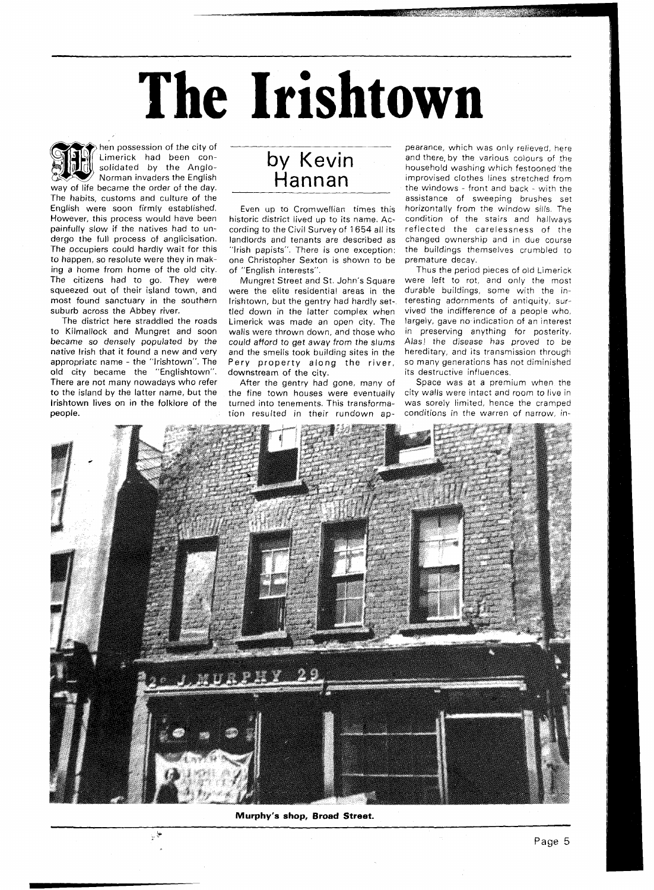## **The Irishtown**



hen possession of the city of Limerick had been consolidated by the Anglo-Norman invaders the English way of life became the order of the day.

The habits, customs and culture of the English were soon firmly established. However, this process would have been painfully slow if the natives had to undergo the full process of anglicisation. The occupiers could hardly wait for this to happen, so resolute were they in making a home from home of the old city. The citizens had to go. They were squeezed out of their island town, and most found sanctuary in the southern suburb across the Abbey river.

The district here straddled the roads to Kilmallock and Mungret and soon became so densely populated by the native lrish that it found a new and very appropriate name - the "lrishtown". The old city became the "Englishtown". There are not many nowadays who refer to the island by the latter name, but the lrishtown lives on in the folklore of the people.

 $\mathcal{L}^{\frac{1}{2}}$ 

## by Kevin<br>Hannan

Even up to Cromwellian times this historic district lived up to its name. According to the Civil Survey of 1654 all its landlords and tenants are described as "Irish papists". There is one exception: one Christopher Sexton is shown to be of "English interests".

Mungret Street and St. John's Square were the elite residential areas in the Irishtown, but the gentry had hardly settled down in the latter complex when Limerick was made an open city. The walls were thrown down, and those who could afford to get away from the slums and the smells took building sites in the Pery property along the river, downstream of the city.

After the gentry had gone, many of the fine town houses were eventually turned into tenements. This transformation resulted in their rundown ap-

pearance, which was only relieved, here and there, by the various colours of the household washing which festooned the improvised clothes lines stretched from the windows - front and back - with the assistance of sweeping brushes set horizontally from the window sills. The condition of the stairs and hallways reflected the carelessness of the changed ownership and in due course the buildings themselves crumbled to premature decay.

Thus the period pieces of old Limerick were left to rot, and only the most durable buildings, some with the interesting adornments of antiquity, survived the indifference of a people who, largely, gave no-indication of an interest in preserving anything for posterity. Alas! the disease has proved to be hereditary, and its transmission through so many generations has not diminished its destructive influences.

Space was at a premium when the city walls were intact and room to live in was sorely limited, hence the cramped conditions in the warren of narrow, in-



Murphy's shop, Broad Street.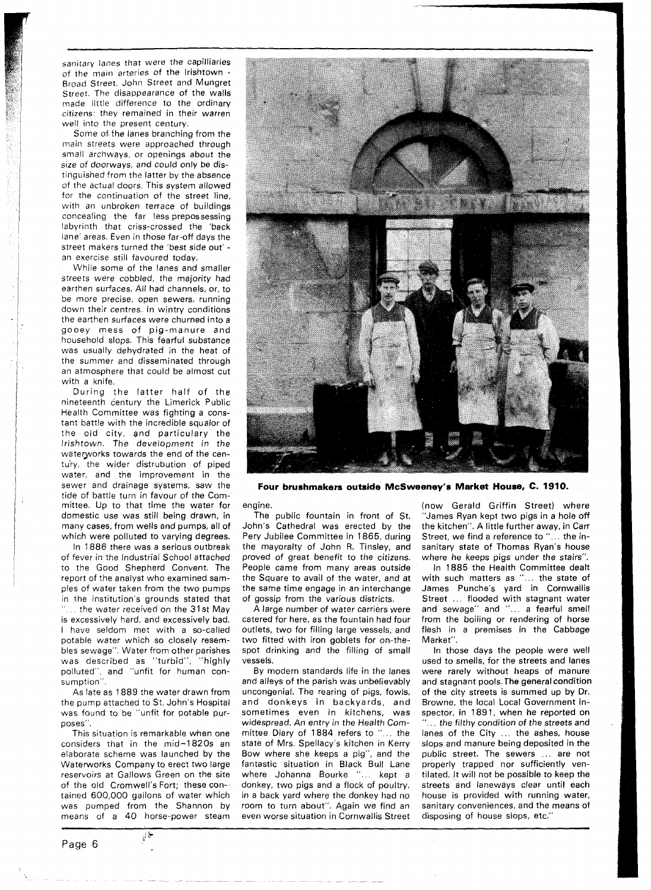sanitary lanes that were the capilliaries of the main arteries of the lrishtown - Broad Street, John Street and Mungret Street. The disappearance of the walls made little difference to the ordinary citizens: they remained in their warren well into the present century.

Some of the lanes branching from the main streets were approached through small archways, or openings about the size of doorways, and could only be distinguished from the latter by the absence of the actual doors. This system allowed for the continuation of the street line, with an unbroken terrace of buildings concealing the far less prepossessing labyrinth that criss-crossed the 'back lane' areas. Even in those far-off days the street makers turned the 'best side out' an exercise still favoured today.

While some of the lanes and smaller streets were cobbled, the majority had earthen surfaces. All had channels, or, to be more precise, open sewers, running down their centres. In wintry conditions the earthen surfaces were churned into a gooey mess of pig-manure and household slops. This fearful substance was usually dehydrated in the heat of the summer and disseminated through an atmosphere that could be almost cut with a knife.

During the latter half of the nineteenth century the Limerick Public Health Committee was fighting a constant battle with the incredible squalor of the old city, and particulary the Irishtown. The development in the waterworks towards the end of the century, the wider distrubution of piped water, and the improvement in the sewer and drainage sysrems, saw the tide of battle turn in favour of the Committee. Up to that time the water for domestic use was still being drawn, in many cases, from wells and pumps, all of which were polluted to varying degrees.

In 1886 there was a serious outbreak of fever in the Industrial School attached to the Good Shepherd Convent. The report of the analyst who examined samples of water taken from the two pumps in the institution's grounds stated that ... the water received on the 31st May is excessively hard, and excessively bad. I have seldom met with a so-called potable water which so closely resembles sewage". Water from other parishes was described as "turbid", "highly polluted", and "unfit for human consumption".

As late as 1889 the water drawn from the pump attached to St. John's Hospital was found to be "unfit for potable purposes".

This situation is remarkable when one considers that in the mid-1820s an elaborate scheme was launched by the Waterworks Company to erect two large reservoirs at Gallows Green on the site of the old Cromwell's Fort; these con-. tained 600,000 gallons of water which was pumped from the Shannon by means of a 40 horse-power steam



**Four brushmakers outside McSweeney's Market House, C. 1910.** 

engine.

The public fountain in front of St. John's Cathedral was erected by the Pery Jubilee Committee in 1865, during the mayoralty of John R. Tinsley, and proved of great benefit to the citizens. People came from many areas outside the Square to avail of the water, and at the same time engage in an interchange of gossip from the various districts.

A large number of water carriers were catered for here, as the fountain had four outlets, two for filling large vessels, and two fitted with iron goblets for on-thespot drinking and the filling of small vessels.

By modern standards life in the lanes and alleys of the parish was unbelievably uncongenial. The rearing of pigs, fowls, and donkeys in backyards, and sometimes even in kitchens, was widespread. An entry in the Health Committee Diary of 1884 refers to "... the state of Mrs. Spellacy's kitchen in Kerry Bow where she keeps a pig", and the fantastic situation in Black Bull Lane where Johanna Bourke "... kept a donkey, two pigs and a flock of poultry, in a back yard where the donkey had no room to turn about". Again we find an even worse situation in Cornwallis Street (now Gerald Griffin Street) where "James Ryan kept two pigs in a hole off the kitchen". A little further away, in Carr Street, we find a reference to "... the insanitary state of Thomas Ryan's house where he keeps pigs under the stairs".

In 1885 the Health Committee dealt with such matters as "... the state of James Punche's yard in Cornwallis Street ... flooded with stagnant water and sewage" and "... a fearful smell from the boiling or rendering of horse flesh in a premises in the Cabbage Market".

In those days the people were well used to smells, for the streets and lanes were rarely without heaps of manure and stagnant pools. The general condition of the city streets is summed up by Dr. Browne, the local Local Government in-<br>spector, in 1891, when he reported on ... the filthy condition of the streets and lanes of the City ... the ashes, house slops and manure being deposited in the public street. The sewers ... are not properly trapped nor sufficiently ventilated. It will not be possible to keep the streets and laneways clear until each house is provided with running water, sanitary conveniences, and the means of disposing of house slops, etc."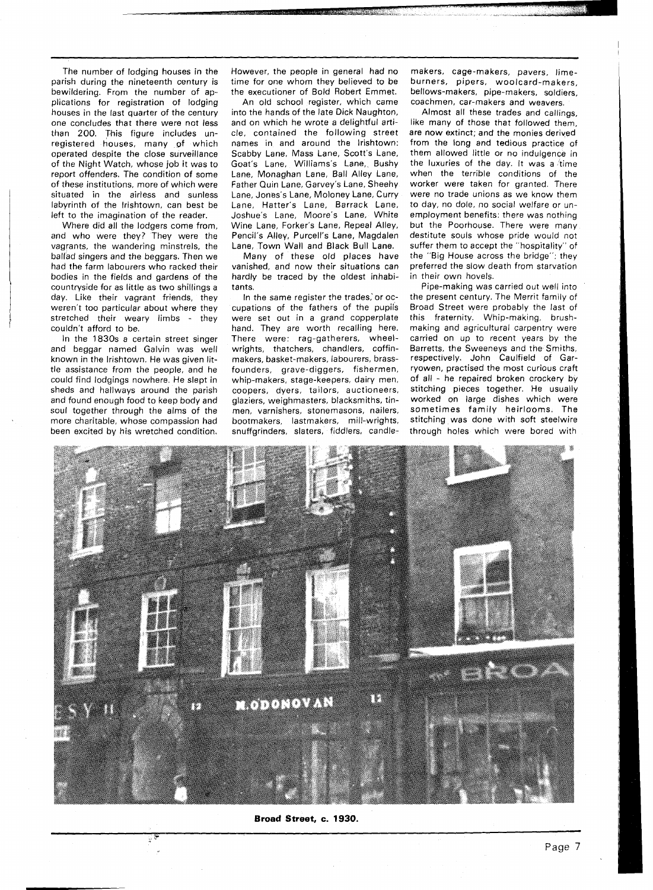The number of lodging houses in the parish during the nineteenth century is bewildering. From the number of applications for registration of lodging houses in the last quarter of the century one concludes that there were not less than 200. This figure includes unregistered houses, many of which operated despite the close surveillance of the Night Watch, whose job it was to report offenders. The condition of some of these institutions, more of which were situated in the airless and sunless labyrinth of the Irishtown, can best be left to the imagination of the reader.

Where did all the lodgers come from, and who were they? They were the vagrants, the wandering minstrels, the ballad singers and the beggars. Then we had the farm labourers who racked their bodies in the fields and gardens of the countryside for as little as two shillings a day. Like their vagrant friends, they weren't too particular about where they stretched their weary limbs - they couldn't afford to be.

In the 1830s a certain street singer and beggar named Galvin was well known in the Irishtown. He was given little assistance from the people, and he could find lodgings nowhere. He slept in sheds and hallways around the parish and found enough food to keep body and soul together through the alms of the more charitable, whose compassion had been excited by his wretched condition.

 $\mathbb{F}$ 

However, the people in general had no time for one whom they believed to be the executioner of Bold Robert Emmet.

An old school register, which came into the hands of the late Dick Naughton, and on which he wrote a delightful article, contained the following street names in and around the Irishtown: Scabby Lane, Mass Lane, Scott's Lane, Goat's Lane, Williams's Lane, Bushy Lane, Monaghan Lane, Ball Alley Lane, Father Quin Lane, Garvey's Lane, Sheehy Lane, Jones's Lane, Moloney Lane, Curry Lane, Hatter's Lane, Barrack Lane, Joshue's Lane, Moore's Lane, White Wine Lane, Forker's Lane, Repeal Alley, Pencil's Alley, Purcell's Lane, Magdalen Lane, Town Wall and Black Bull Lane.

Many of these old places have vanished, and now their situations can hardly be traced by the oldest inhabitants.

In the same register the trades,'or occupations of the fathers of the pupils were set out in a grand copperplate hand. They are worth recalling here. There were: rag-gatherers, wheelwrights, thatchers, chandlers, coffinmakers, basket-makers, labourers, brassfounders, grave-diggers, fishermen, whip-makers, stage-keepers, dairy men, coopers, dyers, tailors, auctioneers, glaziers, weighmasters, blacksmiths, tinmen, varnishers, stonemasons, nailers, bootmakers, lastmakers, mill-wrights, snuffgrinders, slaters, fiddlers, candle-

makers, cage-makers, pavers, limeburners, pipers, woolcard-makers, bellows-makers, pipe-makers, soldiers, coachmen, car-makers and weavers.

Almost all these trades and callings, like many of those that followed them, are now extinct; and the monies derived from the long and tedious practice of them allowed little or no indulgence in the luxuries of the day. It was a time when the terrible conditions of the worker were taken for granted. There were no trade unions as we know them to day, no dole, no social welfare or unemployment benefits: there was nothing but the Poorhouse. There were many destitute souls whose pride would not suffer them to accept the "hospitality" of the "Big House across the bridge": they preferred the slow death from starvation in their own hovels.

Pipe-making was carried out well into the present century. The Merrit family of Broad Street were probably the last of this fraternity. Whip-making, brushmaking and agricultural carpentry were carried on up to recent years by the Barretts, the Sweeneys and the Smiths, respectively. John Caulfield of Garryowen, practised the most curious craft of all - he repaired broken crockery by stitching pieces together. He usually worked on large dishes which were sometimes family heirlooms. The stitching was done with soft steelwire through holes which were bored with



**Broad Street, c. 1930.**